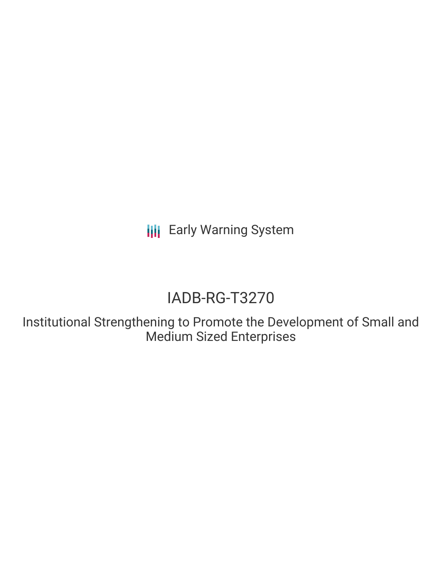**III** Early Warning System

# IADB-RG-T3270

Institutional Strengthening to Promote the Development of Small and Medium Sized Enterprises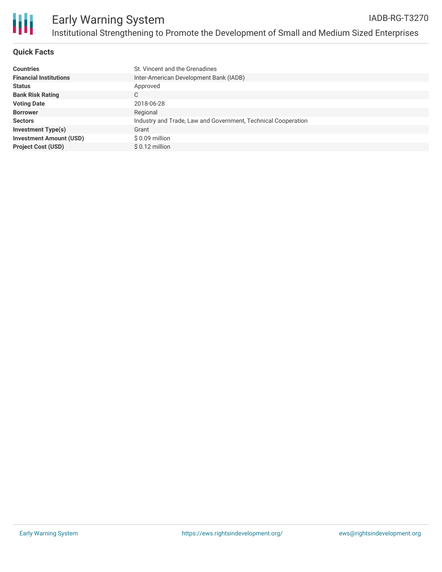

#### **Quick Facts**

| <b>Countries</b>               | St. Vincent and the Grenadines                                |
|--------------------------------|---------------------------------------------------------------|
| <b>Financial Institutions</b>  | Inter-American Development Bank (IADB)                        |
| <b>Status</b>                  | Approved                                                      |
| <b>Bank Risk Rating</b>        | С                                                             |
| <b>Voting Date</b>             | 2018-06-28                                                    |
| <b>Borrower</b>                | Regional                                                      |
| <b>Sectors</b>                 | Industry and Trade, Law and Government, Technical Cooperation |
| <b>Investment Type(s)</b>      | Grant                                                         |
| <b>Investment Amount (USD)</b> | \$0.09 million                                                |
| <b>Project Cost (USD)</b>      | $$0.12$ million                                               |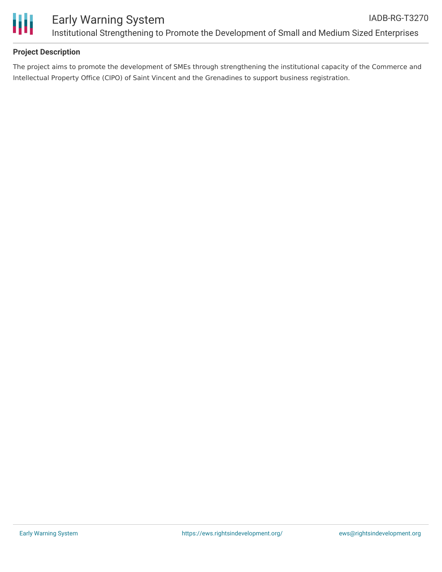

## **Project Description**

The project aims to promote the development of SMEs through strengthening the institutional capacity of the Commerce and Intellectual Property Office (CIPO) of Saint Vincent and the Grenadines to support business registration.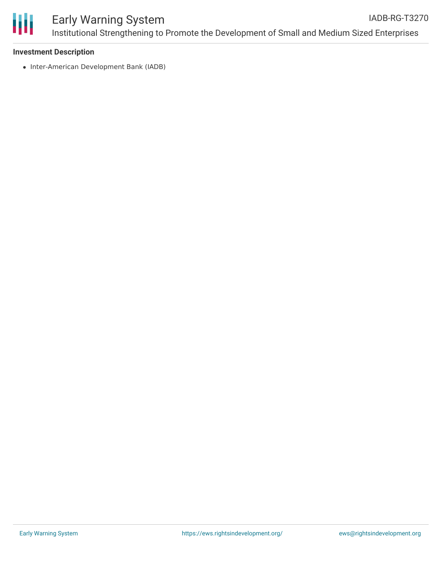

#### **Investment Description**

• Inter-American Development Bank (IADB)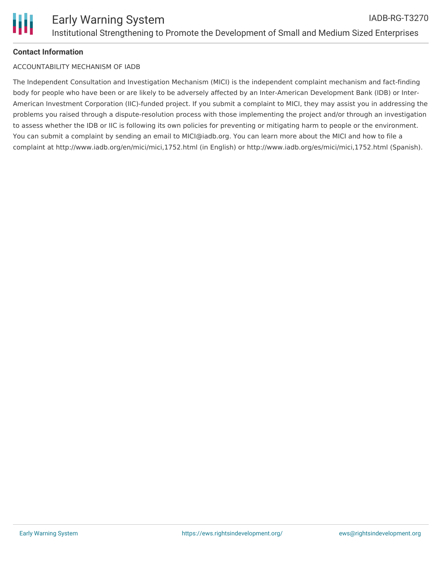# **Contact Information**

### ACCOUNTABILITY MECHANISM OF IADB

The Independent Consultation and Investigation Mechanism (MICI) is the independent complaint mechanism and fact-finding body for people who have been or are likely to be adversely affected by an Inter-American Development Bank (IDB) or Inter-American Investment Corporation (IIC)-funded project. If you submit a complaint to MICI, they may assist you in addressing the problems you raised through a dispute-resolution process with those implementing the project and/or through an investigation to assess whether the IDB or IIC is following its own policies for preventing or mitigating harm to people or the environment. You can submit a complaint by sending an email to MICI@iadb.org. You can learn more about the MICI and how to file a complaint at http://www.iadb.org/en/mici/mici,1752.html (in English) or http://www.iadb.org/es/mici/mici,1752.html (Spanish).